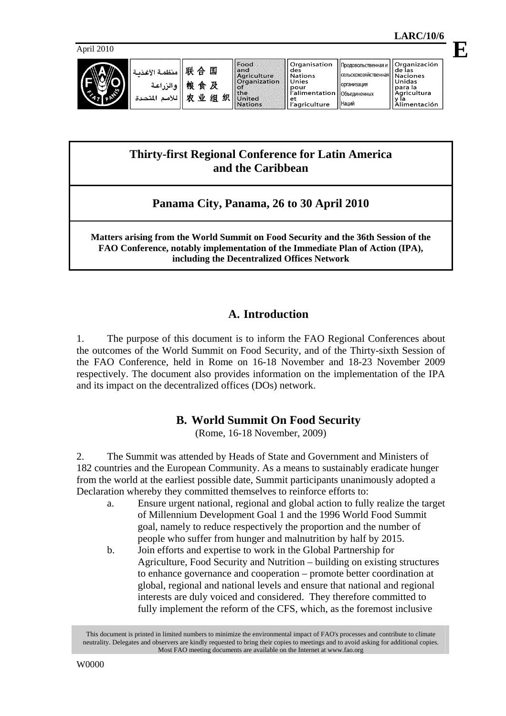**E**

April 2010



| 川联 合 国<br>منظمة الأغذبة<br>粮食及<br>والزراعية<br>业<br>贞<br>للأمم المتحدة | Food<br>land<br><b>Agriculture</b><br><b>Organization</b><br>.of<br><b>Ithe</b><br>织<br>组<br>l United<br><b>Nations</b> | Organisation<br>des<br><b>Nations</b><br>Unies<br>pour<br>alimentation   Объединенных<br>еt<br>l'agriculture | Продовольственная и <b> </b><br> сельскохозяйственная  Naciones<br><b>Горганизация</b><br>I Наций | Organización<br>de las<br>Unidas<br>para la<br>Agricultura<br>Alimentación |
|------------------------------------------------------------------------|-------------------------------------------------------------------------------------------------------------------------|--------------------------------------------------------------------------------------------------------------|---------------------------------------------------------------------------------------------------|----------------------------------------------------------------------------|
|------------------------------------------------------------------------|-------------------------------------------------------------------------------------------------------------------------|--------------------------------------------------------------------------------------------------------------|---------------------------------------------------------------------------------------------------|----------------------------------------------------------------------------|

# **Thirty-first Regional Conference for Latin America and the Caribbean**

# **Panama City, Panama, 26 to 30 April 2010**

**Matters arising from the World Summit on Food Security and the 36th Session of the FAO Conference, notably implementation of the Immediate Plan of Action (IPA), including the Decentralized Offices Network** 

# **A. Introduction**

1. The purpose of this document is to inform the FAO Regional Conferences about the outcomes of the World Summit on Food Security, and of the Thirty-sixth Session of the FAO Conference, held in Rome on 16-18 November and 18-23 November 2009 respectively. The document also provides information on the implementation of the IPA and its impact on the decentralized offices (DOs) network.

# **B. World Summit On Food Security**

(Rome, 16-18 November, 2009)

2. The Summit was attended by Heads of State and Government and Ministers of 182 countries and the European Community. As a means to sustainably eradicate hunger from the world at the earliest possible date, Summit participants unanimously adopted a Declaration whereby they committed themselves to reinforce efforts to:

- a. Ensure urgent national, regional and global action to fully realize the target of Millennium Development Goal 1 and the 1996 World Food Summit goal, namely to reduce respectively the proportion and the number of people who suffer from hunger and malnutrition by half by 2015.
- b. Join efforts and expertise to work in the Global Partnership for Agriculture, Food Security and Nutrition – building on existing structures to enhance governance and cooperation – promote better coordination at global, regional and national levels and ensure that national and regional interests are duly voiced and considered. They therefore committed to fully implement the reform of the CFS, which, as the foremost inclusive

This document is printed in limited numbers to minimize the environmental impact of FAO's processes and contribute to climate neutrality. Delegates and observers are kindly requested to bring their copies to meetings and to avoid asking for additional copies. Most FAO meeting documents are available on the Internet at www.fao.org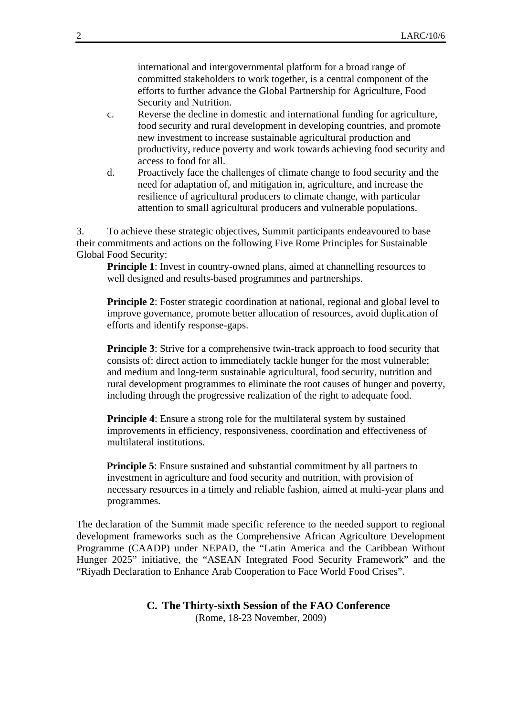international and intergovernmental platform for a broad range of committed stakeholders to work together, is a central component of the efforts to further advance the Global Partnership for Agriculture, Food Security and Nutrition.

- c. Reverse the decline in domestic and international funding for agriculture, food security and rural development in developing countries, and promote new investment to increase sustainable agricultural production and productivity, reduce poverty and work towards achieving food security and access to food for all.
- d. Proactively face the challenges of climate change to food security and the need for adaptation of, and mitigation in, agriculture, and increase the resilience of agricultural producers to climate change, with particular attention to small agricultural producers and vulnerable populations.

3. To achieve these strategic objectives, Summit participants endeavoured to base their commitments and actions on the following Five Rome Principles for Sustainable Global Food Security:

**Principle 1:** Invest in country-owned plans, aimed at channelling resources to well designed and results-based programmes and partnerships.

**Principle 2**: Foster strategic coordination at national, regional and global level to improve governance, promote better allocation of resources, avoid duplication of efforts and identify response-gaps.

**Principle 3**: Strive for a comprehensive twin-track approach to food security that consists of: direct action to immediately tackle hunger for the most vulnerable; and medium and long-term sustainable agricultural, food security, nutrition and rural development programmes to eliminate the root causes of hunger and poverty, including through the progressive realization of the right to adequate food.

**Principle 4**: Ensure a strong role for the multilateral system by sustained improvements in efficiency, responsiveness, coordination and effectiveness of multilateral institutions.

**Principle 5**: Ensure sustained and substantial commitment by all partners to investment in agriculture and food security and nutrition, with provision of necessary resources in a timely and reliable fashion, aimed at multi-year plans and programmes.

The declaration of the Summit made specific reference to the needed support to regional development frameworks such as the Comprehensive African Agriculture Development Programme (CAADP) under NEPAD, the "Latin America and the Caribbean Without Hunger 2025" initiative, the "ASEAN Integrated Food Security Framework" and the "Riyadh Declaration to Enhance Arab Cooperation to Face World Food Crises".

### **C. The Thirty-sixth Session of the FAO Conference**  (Rome, 18-23 November, 2009)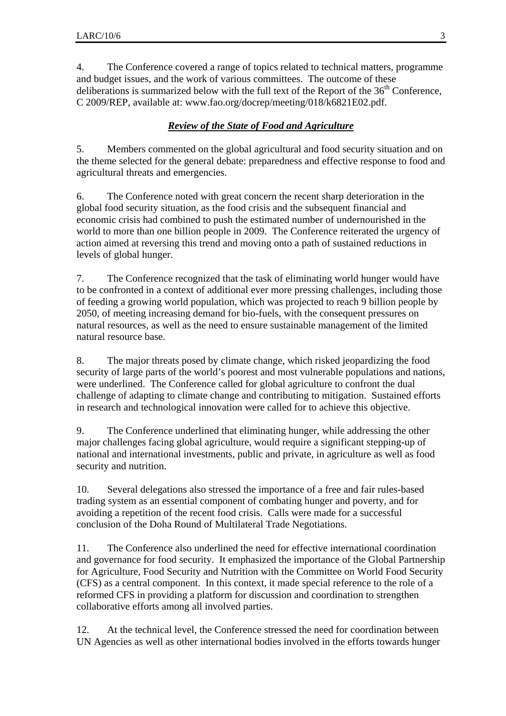4. The Conference covered a range of topics related to technical matters, programme and budget issues, and the work of various committees. The outcome of these deliberations is summarized below with the full text of the Report of the  $36<sup>th</sup>$  Conference, C 2009/REP, available at: www.fao.org/docrep/meeting/018/k6821E02.pdf.

# *Review of the State of Food and Agriculture*

5. Members commented on the global agricultural and food security situation and on the theme selected for the general debate: preparedness and effective response to food and agricultural threats and emergencies.

6. The Conference noted with great concern the recent sharp deterioration in the global food security situation, as the food crisis and the subsequent financial and economic crisis had combined to push the estimated number of undernourished in the world to more than one billion people in 2009. The Conference reiterated the urgency of action aimed at reversing this trend and moving onto a path of sustained reductions in levels of global hunger.

7. The Conference recognized that the task of eliminating world hunger would have to be confronted in a context of additional ever more pressing challenges, including those of feeding a growing world population, which was projected to reach 9 billion people by 2050, of meeting increasing demand for bio-fuels, with the consequent pressures on natural resources, as well as the need to ensure sustainable management of the limited natural resource base.

8. The major threats posed by climate change, which risked jeopardizing the food security of large parts of the world's poorest and most vulnerable populations and nations, were underlined. The Conference called for global agriculture to confront the dual challenge of adapting to climate change and contributing to mitigation. Sustained efforts in research and technological innovation were called for to achieve this objective.

9. The Conference underlined that eliminating hunger, while addressing the other major challenges facing global agriculture, would require a significant stepping-up of national and international investments, public and private, in agriculture as well as food security and nutrition.

10. Several delegations also stressed the importance of a free and fair rules-based trading system as an essential component of combating hunger and poverty, and for avoiding a repetition of the recent food crisis. Calls were made for a successful conclusion of the Doha Round of Multilateral Trade Negotiations.

11. The Conference also underlined the need for effective international coordination and governance for food security. It emphasized the importance of the Global Partnership for Agriculture, Food Security and Nutrition with the Committee on World Food Security (CFS) as a central component. In this context, it made special reference to the role of a reformed CFS in providing a platform for discussion and coordination to strengthen collaborative efforts among all involved parties.

12. At the technical level, the Conference stressed the need for coordination between UN Agencies as well as other international bodies involved in the efforts towards hunger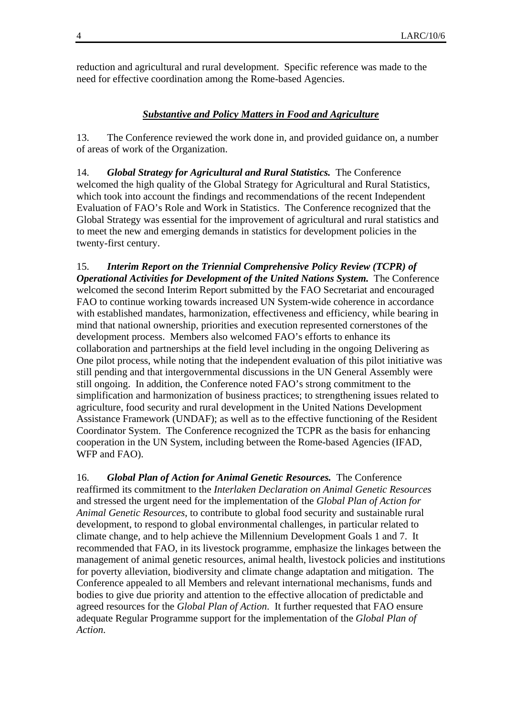reduction and agricultural and rural development. Specific reference was made to the need for effective coordination among the Rome-based Agencies.

#### *Substantive and Policy Matters in Food and Agriculture*

13. The Conference reviewed the work done in, and provided guidance on, a number of areas of work of the Organization.

14. *Global Strategy for Agricultural and Rural Statistics.* The Conference welcomed the high quality of the Global Strategy for Agricultural and Rural Statistics, which took into account the findings and recommendations of the recent Independent Evaluation of FAO's Role and Work in Statistics. The Conference recognized that the Global Strategy was essential for the improvement of agricultural and rural statistics and to meet the new and emerging demands in statistics for development policies in the twenty-first century.

15. *Interim Report on the Triennial Comprehensive Policy Review (TCPR) of Operational Activities for Development of the United Nations System.* The Conference welcomed the second Interim Report submitted by the FAO Secretariat and encouraged FAO to continue working towards increased UN System-wide coherence in accordance with established mandates, harmonization, effectiveness and efficiency, while bearing in mind that national ownership, priorities and execution represented cornerstones of the development process. Members also welcomed FAO's efforts to enhance its collaboration and partnerships at the field level including in the ongoing Delivering as One pilot process, while noting that the independent evaluation of this pilot initiative was still pending and that intergovernmental discussions in the UN General Assembly were still ongoing. In addition, the Conference noted FAO's strong commitment to the simplification and harmonization of business practices; to strengthening issues related to agriculture, food security and rural development in the United Nations Development Assistance Framework (UNDAF); as well as to the effective functioning of the Resident Coordinator System. The Conference recognized the TCPR as the basis for enhancing cooperation in the UN System, including between the Rome-based Agencies (IFAD, WFP and FAO).

16. *Global Plan of Action for Animal Genetic Resources.* The Conference reaffirmed its commitment to the *Interlaken Declaration on Animal Genetic Resources*  and stressed the urgent need for the implementation of the *Global Plan of Action for Animal Genetic Resources*, to contribute to global food security and sustainable rural development, to respond to global environmental challenges, in particular related to climate change, and to help achieve the Millennium Development Goals 1 and 7. It recommended that FAO, in its livestock programme, emphasize the linkages between the management of animal genetic resources, animal health, livestock policies and institutions for poverty alleviation, biodiversity and climate change adaptation and mitigation. The Conference appealed to all Members and relevant international mechanisms, funds and bodies to give due priority and attention to the effective allocation of predictable and agreed resources for the *Global Plan of Action*. It further requested that FAO ensure adequate Regular Programme support for the implementation of the *Global Plan of Action*.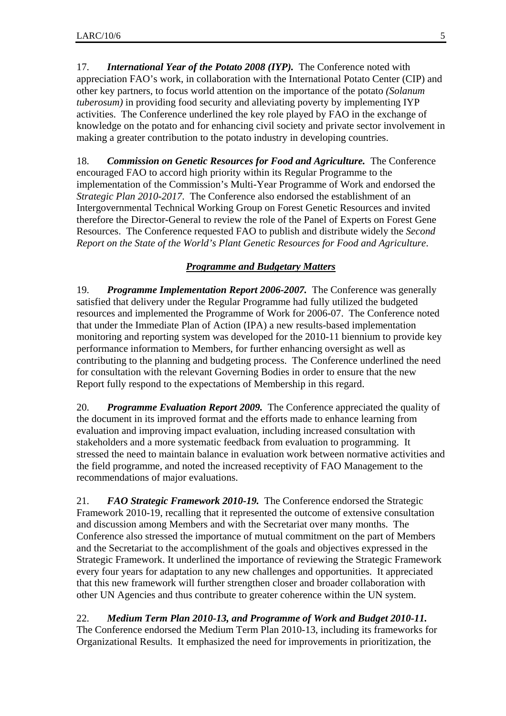17. *International Year of the Potato 2008 (IYP).* The Conference noted with appreciation FAO's work, in collaboration with the International Potato Center (CIP) and other key partners, to focus world attention on the importance of the potato *(Solanum tuberosum)* in providing food security and alleviating poverty by implementing IYP activities. The Conference underlined the key role played by FAO in the exchange of knowledge on the potato and for enhancing civil society and private sector involvement in making a greater contribution to the potato industry in developing countries.

18. *Commission on Genetic Resources for Food and Agriculture.* The Conference encouraged FAO to accord high priority within its Regular Programme to the implementation of the Commission's Multi-Year Programme of Work and endorsed the *Strategic Plan 2010-2017*. The Conference also endorsed the establishment of an Intergovernmental Technical Working Group on Forest Genetic Resources and invited therefore the Director-General to review the role of the Panel of Experts on Forest Gene Resources. The Conference requested FAO to publish and distribute widely the *Second Report on the State of the World's Plant Genetic Resources for Food and Agriculture*.

## *Programme and Budgetary Matters*

19. *Programme Implementation Report 2006-2007.* The Conference was generally satisfied that delivery under the Regular Programme had fully utilized the budgeted resources and implemented the Programme of Work for 2006-07. The Conference noted that under the Immediate Plan of Action (IPA) a new results-based implementation monitoring and reporting system was developed for the 2010-11 biennium to provide key performance information to Members, for further enhancing oversight as well as contributing to the planning and budgeting process. The Conference underlined the need for consultation with the relevant Governing Bodies in order to ensure that the new Report fully respond to the expectations of Membership in this regard.

20. *Programme Evaluation Report 2009.* The Conference appreciated the quality of the document in its improved format and the efforts made to enhance learning from evaluation and improving impact evaluation, including increased consultation with stakeholders and a more systematic feedback from evaluation to programming. It stressed the need to maintain balance in evaluation work between normative activities and the field programme, and noted the increased receptivity of FAO Management to the recommendations of major evaluations.

21. *FAO Strategic Framework 2010-19.* The Conference endorsed the Strategic Framework 2010-19, recalling that it represented the outcome of extensive consultation and discussion among Members and with the Secretariat over many months. The Conference also stressed the importance of mutual commitment on the part of Members and the Secretariat to the accomplishment of the goals and objectives expressed in the Strategic Framework. It underlined the importance of reviewing the Strategic Framework every four years for adaptation to any new challenges and opportunities. It appreciated that this new framework will further strengthen closer and broader collaboration with other UN Agencies and thus contribute to greater coherence within the UN system.

22. *Medium Term Plan 2010-13, and Programme of Work and Budget 2010-11.* The Conference endorsed the Medium Term Plan 2010-13, including its frameworks for Organizational Results. It emphasized the need for improvements in prioritization, the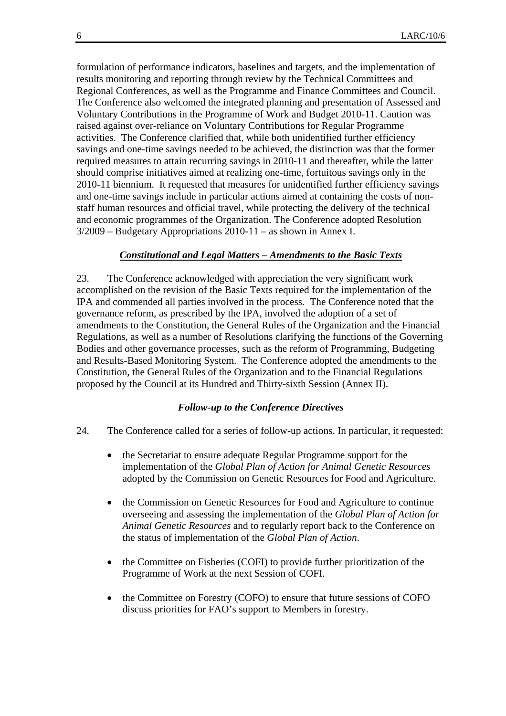formulation of performance indicators, baselines and targets, and the implementation of results monitoring and reporting through review by the Technical Committees and Regional Conferences, as well as the Programme and Finance Committees and Council. The Conference also welcomed the integrated planning and presentation of Assessed and Voluntary Contributions in the Programme of Work and Budget 2010-11. Caution was raised against over-reliance on Voluntary Contributions for Regular Programme activities. The Conference clarified that, while both unidentified further efficiency savings and one-time savings needed to be achieved, the distinction was that the former required measures to attain recurring savings in 2010-11 and thereafter, while the latter should comprise initiatives aimed at realizing one-time, fortuitous savings only in the 2010-11 biennium. It requested that measures for unidentified further efficiency savings and one-time savings include in particular actions aimed at containing the costs of nonstaff human resources and official travel, while protecting the delivery of the technical and economic programmes of the Organization. The Conference adopted Resolution 3/2009 – Budgetary Appropriations 2010-11 – as shown in Annex I.

### *Constitutional and Legal Matters – Amendments to the Basic Texts*

23. The Conference acknowledged with appreciation the very significant work accomplished on the revision of the Basic Texts required for the implementation of the IPA and commended all parties involved in the process. The Conference noted that the governance reform, as prescribed by the IPA, involved the adoption of a set of amendments to the Constitution, the General Rules of the Organization and the Financial Regulations, as well as a number of Resolutions clarifying the functions of the Governing Bodies and other governance processes, such as the reform of Programming, Budgeting and Results-Based Monitoring System. The Conference adopted the amendments to the Constitution, the General Rules of the Organization and to the Financial Regulations proposed by the Council at its Hundred and Thirty-sixth Session (Annex II).

### *Follow-up to the Conference Directives*

- 24. The Conference called for a series of follow-up actions. In particular, it requested:
	- the Secretariat to ensure adequate Regular Programme support for the implementation of the *Global Plan of Action for Animal Genetic Resources* adopted by the Commission on Genetic Resources for Food and Agriculture.
	- the Commission on Genetic Resources for Food and Agriculture to continue overseeing and assessing the implementation of the *Global Plan of Action for Animal Genetic Resources* and to regularly report back to the Conference on the status of implementation of the *Global Plan of Action*.
	- the Committee on Fisheries (COFI) to provide further prioritization of the Programme of Work at the next Session of COFI.
	- the Committee on Forestry (COFO) to ensure that future sessions of COFO discuss priorities for FAO's support to Members in forestry.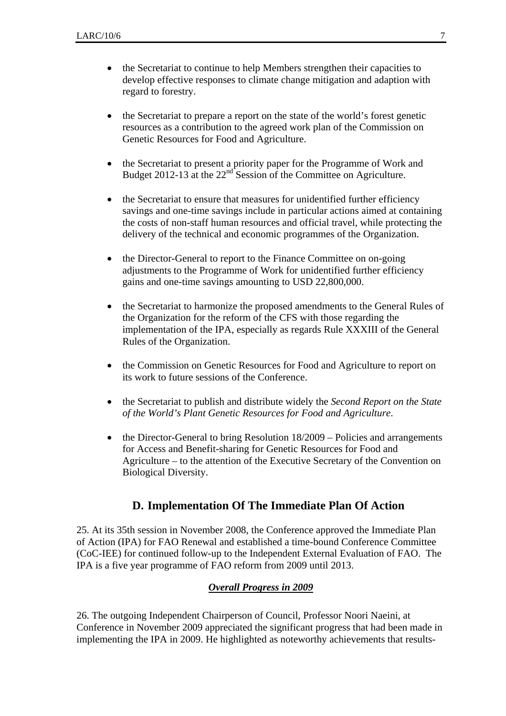- the Secretariat to continue to help Members strengthen their capacities to develop effective responses to climate change mitigation and adaption with regard to forestry.
- the Secretariat to prepare a report on the state of the world's forest genetic resources as a contribution to the agreed work plan of the Commission on Genetic Resources for Food and Agriculture.
- the Secretariat to present a priority paper for the Programme of Work and Budget 2012-13 at the 22<sup>nd</sup> Session of the Committee on Agriculture.
- the Secretariat to ensure that measures for unidentified further efficiency savings and one-time savings include in particular actions aimed at containing the costs of non-staff human resources and official travel, while protecting the delivery of the technical and economic programmes of the Organization.
- the Director-General to report to the Finance Committee on on-going adjustments to the Programme of Work for unidentified further efficiency gains and one-time savings amounting to USD 22,800,000.
- the Secretariat to harmonize the proposed amendments to the General Rules of the Organization for the reform of the CFS with those regarding the implementation of the IPA, especially as regards Rule XXXIII of the General Rules of the Organization.
- the Commission on Genetic Resources for Food and Agriculture to report on its work to future sessions of the Conference.
- the Secretariat to publish and distribute widely the *Second Report on the State of the World's Plant Genetic Resources for Food and Agriculture*.
- the Director-General to bring Resolution 18/2009 Policies and arrangements for Access and Benefit-sharing for Genetic Resources for Food and Agriculture – to the attention of the Executive Secretary of the Convention on Biological Diversity.

## **D. Implementation Of The Immediate Plan Of Action**

25. At its 35th session in November 2008, the Conference approved the Immediate Plan of Action (IPA) for FAO Renewal and established a time-bound Conference Committee (CoC-IEE) for continued follow-up to the Independent External Evaluation of FAO. The IPA is a five year programme of FAO reform from 2009 until 2013.

## *Overall Progress in 2009*

26. The outgoing Independent Chairperson of Council, Professor Noori Naeini, at Conference in November 2009 appreciated the significant progress that had been made in implementing the IPA in 2009. He highlighted as noteworthy achievements that results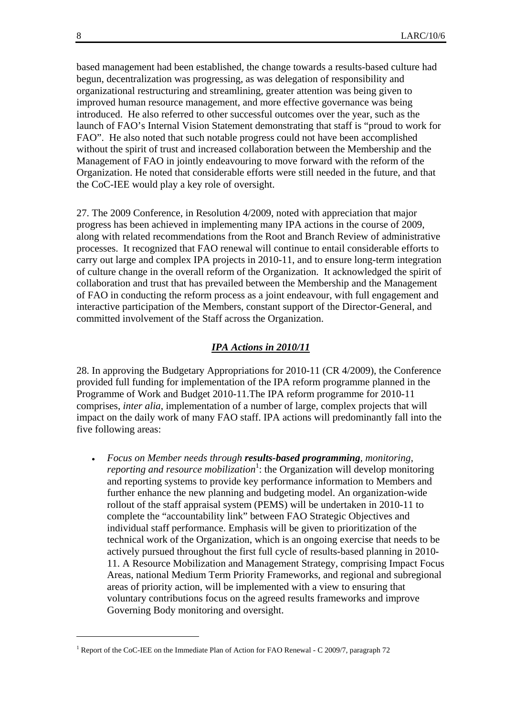based management had been established, the change towards a results-based culture had begun, decentralization was progressing, as was delegation of responsibility and organizational restructuring and streamlining, greater attention was being given to improved human resource management, and more effective governance was being introduced. He also referred to other successful outcomes over the year, such as the launch of FAO's Internal Vision Statement demonstrating that staff is "proud to work for FAO". He also noted that such notable progress could not have been accomplished without the spirit of trust and increased collaboration between the Membership and the Management of FAO in jointly endeavouring to move forward with the reform of the Organization. He noted that considerable efforts were still needed in the future, and that the CoC-IEE would play a key role of oversight.

27. The 2009 Conference, in Resolution 4/2009, noted with appreciation that major progress has been achieved in implementing many IPA actions in the course of 2009, along with related recommendations from the Root and Branch Review of administrative processes. It recognized that FAO renewal will continue to entail considerable efforts to carry out large and complex IPA projects in 2010-11, and to ensure long-term integration of culture change in the overall reform of the Organization. It acknowledged the spirit of collaboration and trust that has prevailed between the Membership and the Management of FAO in conducting the reform process as a joint endeavour, with full engagement and interactive participation of the Members, constant support of the Director-General, and committed involvement of the Staff across the Organization.

### *IPA Actions in 2010/11*

28. In approving the Budgetary Appropriations for 2010-11 (CR 4/2009), the Conference provided full funding for implementation of the IPA reform programme planned in the Programme of Work and Budget 2010-11.The IPA reform programme for 2010-11 comprises, *inter alia*, implementation of a number of large, complex projects that will impact on the daily work of many FAO staff. IPA actions will predominantly fall into the five following areas:

• *Focus on Member needs through results-based programming, monitoring,*  reporting and resource mobilization<sup>1</sup>: the Organization will develop monitoring and reporting systems to provide key performance information to Members and further enhance the new planning and budgeting model. An organization-wide rollout of the staff appraisal system (PEMS) will be undertaken in 2010-11 to complete the "accountability link" between FAO Strategic Objectives and individual staff performance. Emphasis will be given to prioritization of the technical work of the Organization, which is an ongoing exercise that needs to be actively pursued throughout the first full cycle of results-based planning in 2010- 11. A Resource Mobilization and Management Strategy, comprising Impact Focus Areas, national Medium Term Priority Frameworks, and regional and subregional areas of priority action, will be implemented with a view to ensuring that voluntary contributions focus on the agreed results frameworks and improve Governing Body monitoring and oversight.

l

<sup>&</sup>lt;sup>1</sup> Report of the CoC-IEE on the Immediate Plan of Action for FAO Renewal - C 2009/7, paragraph 72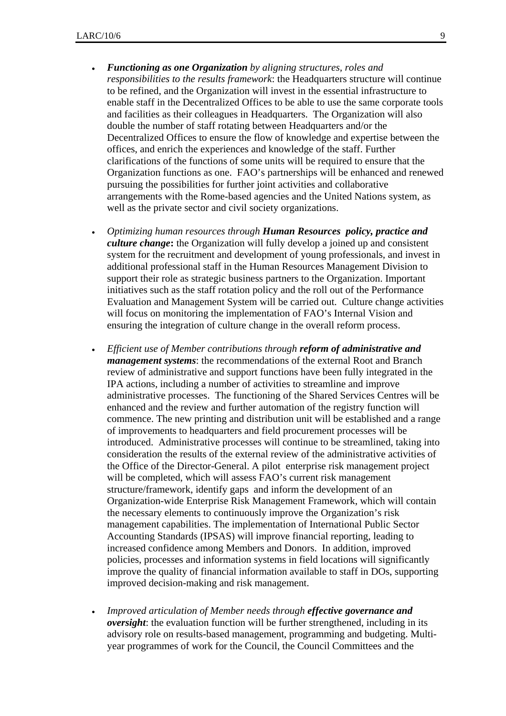- *Functioning as one Organization by aligning structures, roles and responsibilities to the results framework*: the Headquarters structure will continue to be refined, and the Organization will invest in the essential infrastructure to enable staff in the Decentralized Offices to be able to use the same corporate tools and facilities as their colleagues in Headquarters. The Organization will also double the number of staff rotating between Headquarters and/or the Decentralized Offices to ensure the flow of knowledge and expertise between the offices, and enrich the experiences and knowledge of the staff. Further clarifications of the functions of some units will be required to ensure that the Organization functions as one. FAO's partnerships will be enhanced and renewed pursuing the possibilities for further joint activities and collaborative arrangements with the Rome-based agencies and the United Nations system, as well as the private sector and civil society organizations.
- *Optimizing human resources through Human Resources policy, practice and culture change***:** the Organization will fully develop a joined up and consistent system for the recruitment and development of young professionals, and invest in additional professional staff in the Human Resources Management Division to support their role as strategic business partners to the Organization. Important initiatives such as the staff rotation policy and the roll out of the Performance Evaluation and Management System will be carried out. Culture change activities will focus on monitoring the implementation of FAO's Internal Vision and ensuring the integration of culture change in the overall reform process.
- *Efficient use of Member contributions through reform of administrative and management systems*: the recommendations of the external Root and Branch review of administrative and support functions have been fully integrated in the IPA actions, including a number of activities to streamline and improve administrative processes. The functioning of the Shared Services Centres will be enhanced and the review and further automation of the registry function will commence. The new printing and distribution unit will be established and a range of improvements to headquarters and field procurement processes will be introduced. Administrative processes will continue to be streamlined, taking into consideration the results of the external review of the administrative activities of the Office of the Director-General. A pilot enterprise risk management project will be completed, which will assess FAO's current risk management structure/framework, identify gaps and inform the development of an Organization-wide Enterprise Risk Management Framework, which will contain the necessary elements to continuously improve the Organization's risk management capabilities. The implementation of International Public Sector Accounting Standards (IPSAS) will improve financial reporting, leading to increased confidence among Members and Donors. In addition, improved policies, processes and information systems in field locations will significantly improve the quality of financial information available to staff in DOs, supporting improved decision-making and risk management.
- *Improved articulation of Member needs through effective governance and oversight*: the evaluation function will be further strengthened, including in its advisory role on results-based management, programming and budgeting. Multiyear programmes of work for the Council, the Council Committees and the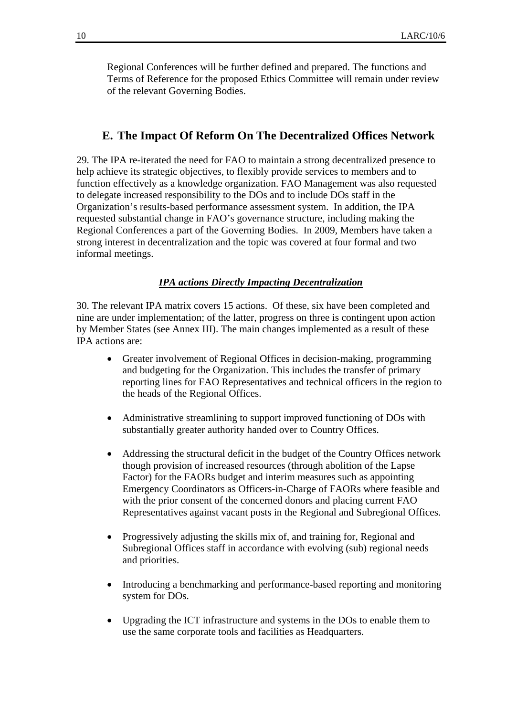Regional Conferences will be further defined and prepared. The functions and Terms of Reference for the proposed Ethics Committee will remain under review of the relevant Governing Bodies.

## **E. The Impact Of Reform On The Decentralized Offices Network**

29. The IPA re-iterated the need for FAO to maintain a strong decentralized presence to help achieve its strategic objectives, to flexibly provide services to members and to function effectively as a knowledge organization. FAO Management was also requested to delegate increased responsibility to the DOs and to include DOs staff in the Organization's results-based performance assessment system. In addition, the IPA requested substantial change in FAO's governance structure, including making the Regional Conferences a part of the Governing Bodies. In 2009, Members have taken a strong interest in decentralization and the topic was covered at four formal and two informal meetings.

### *IPA actions Directly Impacting Decentralization*

30. The relevant IPA matrix covers 15 actions. Of these, six have been completed and nine are under implementation; of the latter, progress on three is contingent upon action by Member States (see Annex III). The main changes implemented as a result of these IPA actions are:

- Greater involvement of Regional Offices in decision-making, programming and budgeting for the Organization. This includes the transfer of primary reporting lines for FAO Representatives and technical officers in the region to the heads of the Regional Offices.
- Administrative streamlining to support improved functioning of DOs with substantially greater authority handed over to Country Offices.
- Addressing the structural deficit in the budget of the Country Offices network though provision of increased resources (through abolition of the Lapse Factor) for the FAORs budget and interim measures such as appointing Emergency Coordinators as Officers-in-Charge of FAORs where feasible and with the prior consent of the concerned donors and placing current FAO Representatives against vacant posts in the Regional and Subregional Offices.
- Progressively adjusting the skills mix of, and training for, Regional and Subregional Offices staff in accordance with evolving (sub) regional needs and priorities.
- Introducing a benchmarking and performance-based reporting and monitoring system for DOs.
- Upgrading the ICT infrastructure and systems in the DOs to enable them to use the same corporate tools and facilities as Headquarters.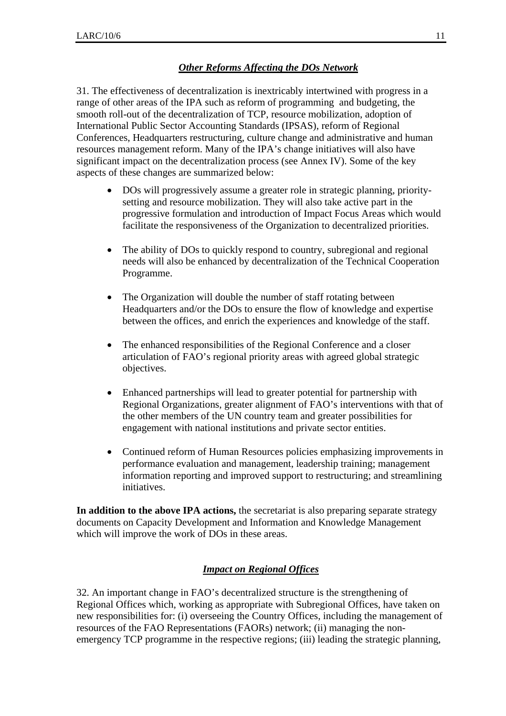## *Other Reforms Affecting the DOs Network*

31. The effectiveness of decentralization is inextricably intertwined with progress in a range of other areas of the IPA such as reform of programming and budgeting, the smooth roll-out of the decentralization of TCP, resource mobilization, adoption of International Public Sector Accounting Standards (IPSAS), reform of Regional Conferences, Headquarters restructuring, culture change and administrative and human resources management reform. Many of the IPA's change initiatives will also have significant impact on the decentralization process (see Annex IV). Some of the key aspects of these changes are summarized below:

- DOs will progressively assume a greater role in strategic planning, prioritysetting and resource mobilization. They will also take active part in the progressive formulation and introduction of Impact Focus Areas which would facilitate the responsiveness of the Organization to decentralized priorities.
- The ability of DOs to quickly respond to country, subregional and regional needs will also be enhanced by decentralization of the Technical Cooperation Programme.
- The Organization will double the number of staff rotating between Headquarters and/or the DOs to ensure the flow of knowledge and expertise between the offices, and enrich the experiences and knowledge of the staff.
- The enhanced responsibilities of the Regional Conference and a closer articulation of FAO's regional priority areas with agreed global strategic objectives.
- Enhanced partnerships will lead to greater potential for partnership with Regional Organizations, greater alignment of FAO's interventions with that of the other members of the UN country team and greater possibilities for engagement with national institutions and private sector entities.
- Continued reform of Human Resources policies emphasizing improvements in performance evaluation and management, leadership training; management information reporting and improved support to restructuring; and streamlining initiatives.

**In addition to the above IPA actions,** the secretariat is also preparing separate strategy documents on Capacity Development and Information and Knowledge Management which will improve the work of DOs in these areas.

## *Impact on Regional Offices*

32. An important change in FAO's decentralized structure is the strengthening of Regional Offices which, working as appropriate with Subregional Offices, have taken on new responsibilities for: (i) overseeing the Country Offices, including the management of resources of the FAO Representations (FAORs) network; (ii) managing the nonemergency TCP programme in the respective regions; (iii) leading the strategic planning,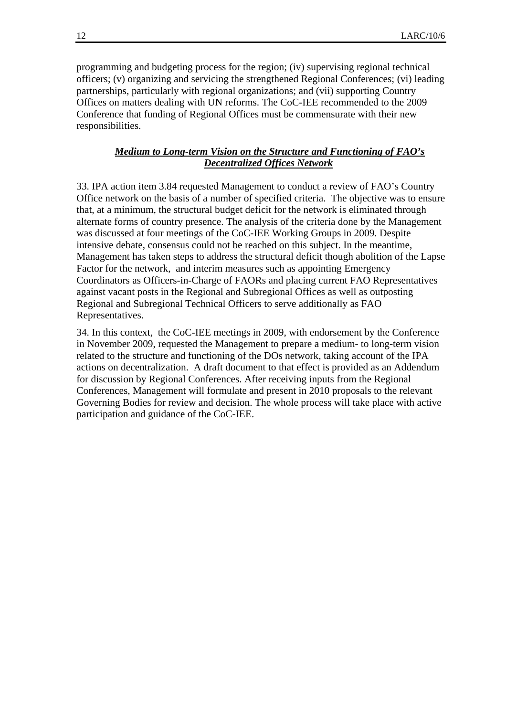programming and budgeting process for the region; (iv) supervising regional technical officers; (v) organizing and servicing the strengthened Regional Conferences; (vi) leading partnerships, particularly with regional organizations; and (vii) supporting Country Offices on matters dealing with UN reforms. The CoC-IEE recommended to the 2009 Conference that funding of Regional Offices must be commensurate with their new responsibilities.

### *Medium to Long-term Vision on the Structure and Functioning of FAO's Decentralized Offices Network*

33. IPA action item 3.84 requested Management to conduct a review of FAO's Country Office network on the basis of a number of specified criteria. The objective was to ensure that, at a minimum, the structural budget deficit for the network is eliminated through alternate forms of country presence. The analysis of the criteria done by the Management was discussed at four meetings of the CoC-IEE Working Groups in 2009. Despite intensive debate, consensus could not be reached on this subject. In the meantime, Management has taken steps to address the structural deficit though abolition of the Lapse Factor for the network, and interim measures such as appointing Emergency Coordinators as Officers-in-Charge of FAORs and placing current FAO Representatives against vacant posts in the Regional and Subregional Offices as well as outposting Regional and Subregional Technical Officers to serve additionally as FAO Representatives.

34. In this context, the CoC-IEE meetings in 2009, with endorsement by the Conference in November 2009, requested the Management to prepare a medium- to long-term vision related to the structure and functioning of the DOs network, taking account of the IPA actions on decentralization. A draft document to that effect is provided as an Addendum for discussion by Regional Conferences. After receiving inputs from the Regional Conferences, Management will formulate and present in 2010 proposals to the relevant Governing Bodies for review and decision. The whole process will take place with active participation and guidance of the CoC-IEE.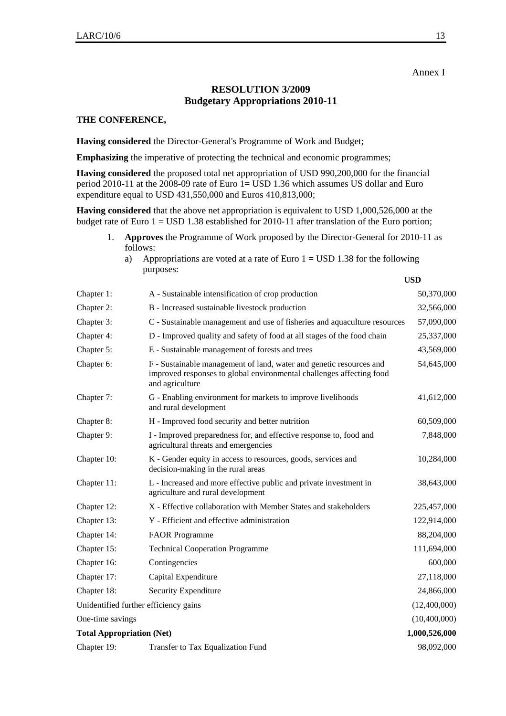## **RESOLUTION 3/2009 Budgetary Appropriations 2010-11**

#### **THE CONFERENCE,**

**Having considered** the Director-General's Programme of Work and Budget;

**Emphasizing** the imperative of protecting the technical and economic programmes;

**Having considered** the proposed total net appropriation of USD 990,200,000 for the financial period 2010-11 at the 2008-09 rate of Euro 1= USD 1.36 which assumes US dollar and Euro expenditure equal to USD 431,550,000 and Euros 410,813,000;

**Having considered** that the above net appropriation is equivalent to USD 1,000,526,000 at the budget rate of Euro 1 = USD 1.38 established for 2010-11 after translation of the Euro portion;

| <b>Approves</b> the Programme of Work proposed by the Director-General for 2010-11 as |
|---------------------------------------------------------------------------------------|
| follows:                                                                              |

a) Appropriations are voted at a rate of Euro  $1 =$  USD 1.38 for the following purposes:

**USD** 

| Chapter 1:                            | A - Sustainable intensification of crop production                                                                                                             | 50,370,000    |
|---------------------------------------|----------------------------------------------------------------------------------------------------------------------------------------------------------------|---------------|
| Chapter 2:                            | B - Increased sustainable livestock production                                                                                                                 | 32,566,000    |
| Chapter 3:                            | C - Sustainable management and use of fisheries and aquaculture resources                                                                                      | 57,090,000    |
| Chapter 4:                            | D - Improved quality and safety of food at all stages of the food chain                                                                                        | 25,337,000    |
| Chapter 5:                            | E - Sustainable management of forests and trees                                                                                                                | 43,569,000    |
| Chapter 6:                            | F - Sustainable management of land, water and genetic resources and<br>improved responses to global environmental challenges affecting food<br>and agriculture | 54,645,000    |
| Chapter 7:                            | G - Enabling environment for markets to improve livelihoods<br>and rural development                                                                           | 41,612,000    |
| Chapter 8:                            | H - Improved food security and better nutrition                                                                                                                | 60,509,000    |
| Chapter 9:                            | I - Improved preparedness for, and effective response to, food and<br>agricultural threats and emergencies                                                     | 7,848,000     |
| Chapter 10:                           | K - Gender equity in access to resources, goods, services and<br>decision-making in the rural areas                                                            | 10,284,000    |
| Chapter 11:                           | L - Increased and more effective public and private investment in<br>agriculture and rural development                                                         | 38,643,000    |
| Chapter 12:                           | X - Effective collaboration with Member States and stakeholders                                                                                                | 225,457,000   |
| Chapter 13:                           | Y - Efficient and effective administration                                                                                                                     | 122,914,000   |
| Chapter 14:                           | <b>FAOR Programme</b>                                                                                                                                          | 88,204,000    |
| Chapter 15:                           | <b>Technical Cooperation Programme</b>                                                                                                                         | 111,694,000   |
| Chapter 16:                           | Contingencies                                                                                                                                                  | 600,000       |
| Chapter 17:                           | Capital Expenditure                                                                                                                                            | 27,118,000    |
| Chapter 18:                           | Security Expenditure                                                                                                                                           | 24,866,000    |
| Unidentified further efficiency gains |                                                                                                                                                                | (12,400,000)  |
| One-time savings                      |                                                                                                                                                                | (10,400,000)  |
| <b>Total Appropriation (Net)</b>      |                                                                                                                                                                | 1,000,526,000 |
| Chapter 19:                           | Transfer to Tax Equalization Fund                                                                                                                              | 98,092,000    |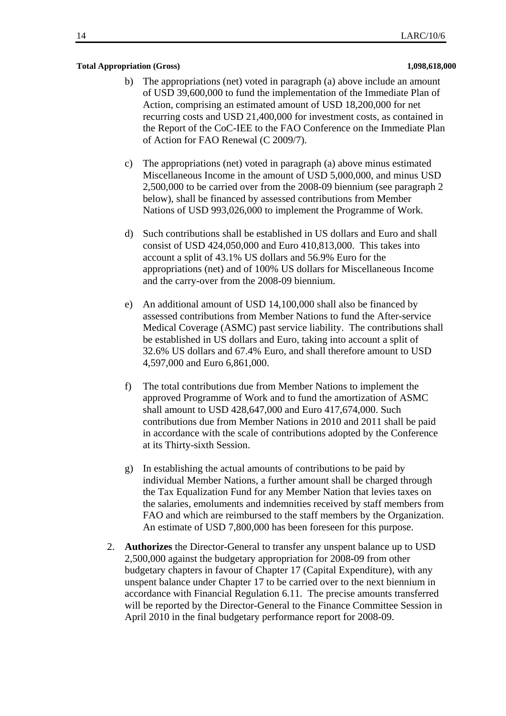#### **Total Appropriation (Gross) 1,098,618,000**

- b) The appropriations (net) voted in paragraph (a) above include an amount of USD 39,600,000 to fund the implementation of the Immediate Plan of Action, comprising an estimated amount of USD 18,200,000 for net recurring costs and USD 21,400,000 for investment costs, as contained in the Report of the CoC-IEE to the FAO Conference on the Immediate Plan of Action for FAO Renewal (C 2009/7).
- c) The appropriations (net) voted in paragraph (a) above minus estimated Miscellaneous Income in the amount of USD 5,000,000, and minus USD 2,500,000 to be carried over from the 2008-09 biennium (see paragraph 2 below), shall be financed by assessed contributions from Member Nations of USD 993,026,000 to implement the Programme of Work.
- d) Such contributions shall be established in US dollars and Euro and shall consist of USD 424,050,000 and Euro 410,813,000. This takes into account a split of 43.1% US dollars and 56.9% Euro for the appropriations (net) and of 100% US dollars for Miscellaneous Income and the carry-over from the 2008-09 biennium.
- e) An additional amount of USD 14,100,000 shall also be financed by assessed contributions from Member Nations to fund the After-service Medical Coverage (ASMC) past service liability. The contributions shall be established in US dollars and Euro, taking into account a split of 32.6% US dollars and 67.4% Euro, and shall therefore amount to USD 4,597,000 and Euro 6,861,000.
- f) The total contributions due from Member Nations to implement the approved Programme of Work and to fund the amortization of ASMC shall amount to USD 428,647,000 and Euro 417,674,000. Such contributions due from Member Nations in 2010 and 2011 shall be paid in accordance with the scale of contributions adopted by the Conference at its Thirty-sixth Session.
- g) In establishing the actual amounts of contributions to be paid by individual Member Nations, a further amount shall be charged through the Tax Equalization Fund for any Member Nation that levies taxes on the salaries, emoluments and indemnities received by staff members from FAO and which are reimbursed to the staff members by the Organization. An estimate of USD 7,800,000 has been foreseen for this purpose.
- 2. **Authorizes** the Director-General to transfer any unspent balance up to USD 2,500,000 against the budgetary appropriation for 2008-09 from other budgetary chapters in favour of Chapter 17 (Capital Expenditure), with any unspent balance under Chapter 17 to be carried over to the next biennium in accordance with Financial Regulation 6.11. The precise amounts transferred will be reported by the Director-General to the Finance Committee Session in April 2010 in the final budgetary performance report for 2008-09.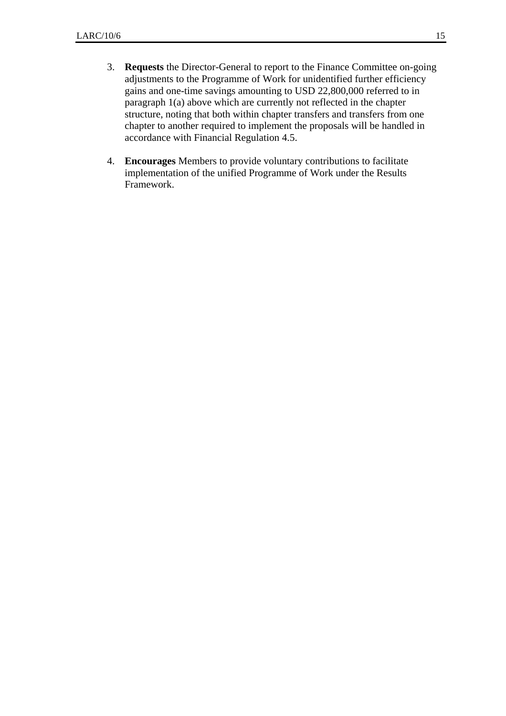- 3. **Requests** the Director-General to report to the Finance Committee on-going adjustments to the Programme of Work for unidentified further efficiency gains and one-time savings amounting to USD 22,800,000 referred to in paragraph 1(a) above which are currently not reflected in the chapter structure, noting that both within chapter transfers and transfers from one chapter to another required to implement the proposals will be handled in accordance with Financial Regulation 4.5.
- 4. **Encourages** Members to provide voluntary contributions to facilitate implementation of the unified Programme of Work under the Results Framework.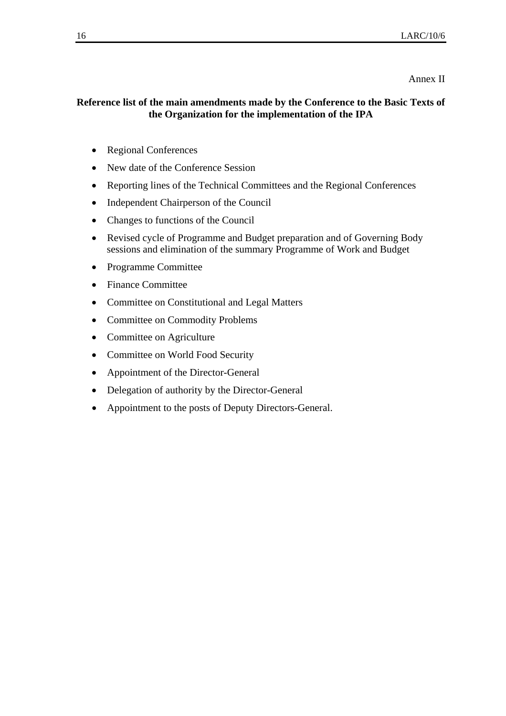#### Annex II

### **Reference list of the main amendments made by the Conference to the Basic Texts of the Organization for the implementation of the IPA**

- Regional Conferences
- New date of the Conference Session
- Reporting lines of the Technical Committees and the Regional Conferences
- Independent Chairperson of the Council
- Changes to functions of the Council
- Revised cycle of Programme and Budget preparation and of Governing Body sessions and elimination of the summary Programme of Work and Budget
- Programme Committee
- Finance Committee
- Committee on Constitutional and Legal Matters
- Committee on Commodity Problems
- Committee on Agriculture
- Committee on World Food Security
- Appointment of the Director-General
- Delegation of authority by the Director-General
- Appointment to the posts of Deputy Directors-General.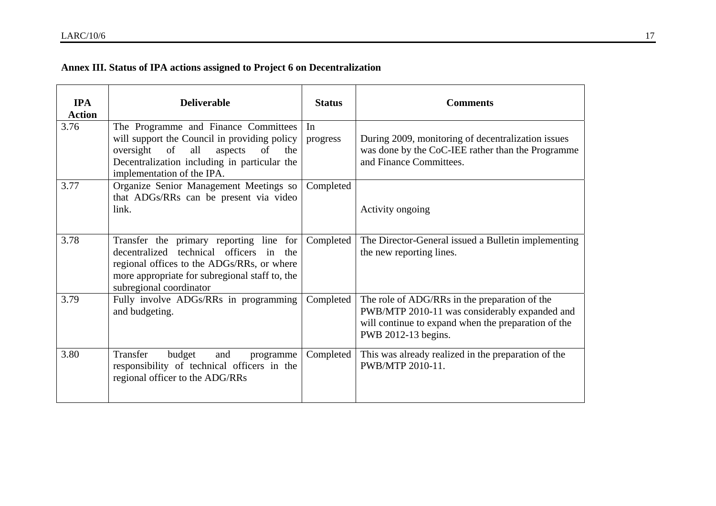# **Annex III. Status of IPA actions assigned to Project 6 on Decentralization**

| <b>IPA</b><br><b>Action</b> | <b>Deliverable</b>                                                                                                                                                                                                   | <b>Status</b>  | <b>Comments</b>                                                                                                                                                              |
|-----------------------------|----------------------------------------------------------------------------------------------------------------------------------------------------------------------------------------------------------------------|----------------|------------------------------------------------------------------------------------------------------------------------------------------------------------------------------|
| 3.76                        | The Programme and Finance Committees<br>will support the Council in providing policy<br>of<br>oversight<br>all<br>aspects<br>of<br>the<br>Decentralization including in particular the<br>implementation of the IPA. | In<br>progress | During 2009, monitoring of decentralization issues<br>was done by the CoC-IEE rather than the Programme<br>and Finance Committees.                                           |
| 3.77                        | Organize Senior Management Meetings so<br>that ADGs/RRs can be present via video<br>link.                                                                                                                            | Completed      | Activity ongoing                                                                                                                                                             |
| 3.78                        | Transfer the primary reporting line for<br>decentralized technical officers in the<br>regional offices to the ADGs/RRs, or where<br>more appropriate for subregional staff to, the<br>subregional coordinator        | Completed      | The Director-General issued a Bulletin implementing<br>the new reporting lines.                                                                                              |
| 3.79                        | Fully involve ADGs/RRs in programming<br>and budgeting.                                                                                                                                                              | Completed      | The role of ADG/RRs in the preparation of the<br>PWB/MTP 2010-11 was considerably expanded and<br>will continue to expand when the preparation of the<br>PWB 2012-13 begins. |
| 3.80                        | Transfer<br>budget<br>and<br>programme<br>responsibility of technical officers in the<br>regional officer to the ADG/RRs                                                                                             | Completed      | This was already realized in the preparation of the<br>PWB/MTP 2010-11.                                                                                                      |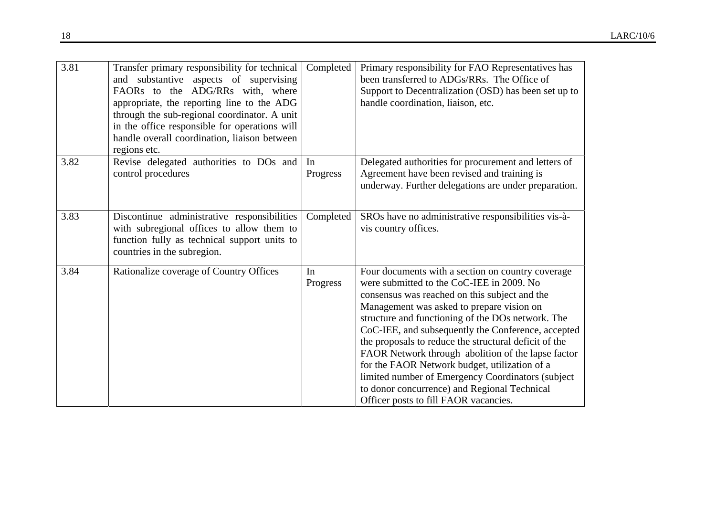| 3.81 | Transfer primary responsibility for technical<br>and substantive aspects of supervising<br>FAORs to the ADG/RRs with, where<br>appropriate, the reporting line to the ADG<br>through the sub-regional coordinator. A unit<br>in the office responsible for operations will<br>handle overall coordination, liaison between<br>regions etc. | Completed      | Primary responsibility for FAO Representatives has<br>been transferred to ADGs/RRs. The Office of<br>Support to Decentralization (OSD) has been set up to<br>handle coordination, liaison, etc.                                                                                                                                                                                                                                                                                                                                                                                                                        |
|------|--------------------------------------------------------------------------------------------------------------------------------------------------------------------------------------------------------------------------------------------------------------------------------------------------------------------------------------------|----------------|------------------------------------------------------------------------------------------------------------------------------------------------------------------------------------------------------------------------------------------------------------------------------------------------------------------------------------------------------------------------------------------------------------------------------------------------------------------------------------------------------------------------------------------------------------------------------------------------------------------------|
| 3.82 | Revise delegated authorities to DOs and<br>control procedures                                                                                                                                                                                                                                                                              | In<br>Progress | Delegated authorities for procurement and letters of<br>Agreement have been revised and training is<br>underway. Further delegations are under preparation.                                                                                                                                                                                                                                                                                                                                                                                                                                                            |
| 3.83 | Discontinue administrative responsibilities<br>with subregional offices to allow them to<br>function fully as technical support units to<br>countries in the subregion.                                                                                                                                                                    | Completed      | SROs have no administrative responsibilities vis-à-<br>vis country offices.                                                                                                                                                                                                                                                                                                                                                                                                                                                                                                                                            |
| 3.84 | Rationalize coverage of Country Offices                                                                                                                                                                                                                                                                                                    | In<br>Progress | Four documents with a section on country coverage<br>were submitted to the CoC-IEE in 2009. No<br>consensus was reached on this subject and the<br>Management was asked to prepare vision on<br>structure and functioning of the DOs network. The<br>CoC-IEE, and subsequently the Conference, accepted<br>the proposals to reduce the structural deficit of the<br>FAOR Network through abolition of the lapse factor<br>for the FAOR Network budget, utilization of a<br>limited number of Emergency Coordinators (subject)<br>to donor concurrence) and Regional Technical<br>Officer posts to fill FAOR vacancies. |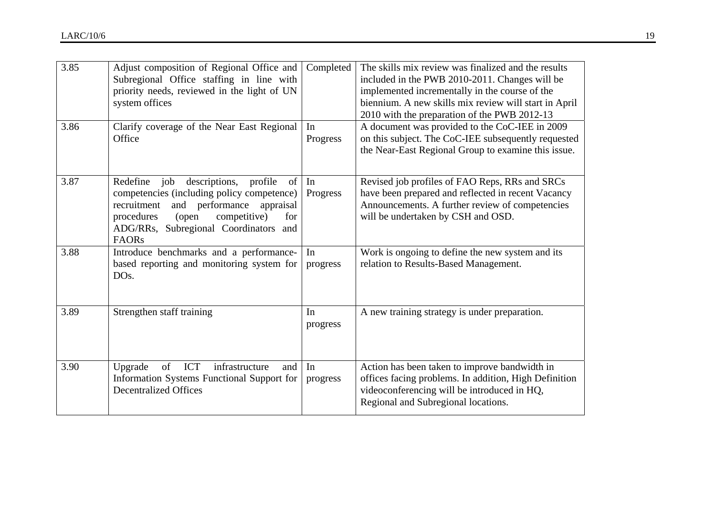| 3.85 | Adjust composition of Regional Office and<br>Subregional Office staffing in line with<br>priority needs, reviewed in the light of UN<br>system offices                                                                                         | Completed      | The skills mix review was finalized and the results<br>included in the PWB 2010-2011. Changes will be<br>implemented incrementally in the course of the<br>biennium. A new skills mix review will start in April<br>2010 with the preparation of the PWB 2012-13 |
|------|------------------------------------------------------------------------------------------------------------------------------------------------------------------------------------------------------------------------------------------------|----------------|------------------------------------------------------------------------------------------------------------------------------------------------------------------------------------------------------------------------------------------------------------------|
| 3.86 | Clarify coverage of the Near East Regional<br>Office                                                                                                                                                                                           | In<br>Progress | A document was provided to the CoC-IEE in 2009<br>on this subject. The CoC-IEE subsequently requested<br>the Near-East Regional Group to examine this issue.                                                                                                     |
| 3.87 | job descriptions, profile<br>Redefine<br>of  <br>competencies (including policy competence)<br>and performance appraisal<br>recruitment<br>competitive)<br>(open<br>procedures<br>for<br>ADG/RRs, Subregional Coordinators and<br><b>FAORs</b> | In<br>Progress | Revised job profiles of FAO Reps, RRs and SRCs<br>have been prepared and reflected in recent Vacancy<br>Announcements. A further review of competencies<br>will be undertaken by CSH and OSD.                                                                    |
| 3.88 | Introduce benchmarks and a performance-<br>based reporting and monitoring system for<br>DO <sub>s</sub> .                                                                                                                                      | In<br>progress | Work is ongoing to define the new system and its<br>relation to Results-Based Management.                                                                                                                                                                        |
| 3.89 | Strengthen staff training                                                                                                                                                                                                                      | In<br>progress | A new training strategy is under preparation.                                                                                                                                                                                                                    |
| 3.90 | ICT<br>Upgrade<br>infrastructure<br>of<br>and<br>Information Systems Functional Support for<br><b>Decentralized Offices</b>                                                                                                                    | In<br>progress | Action has been taken to improve bandwidth in<br>offices facing problems. In addition, High Definition<br>videoconferencing will be introduced in HQ,<br>Regional and Subregional locations.                                                                     |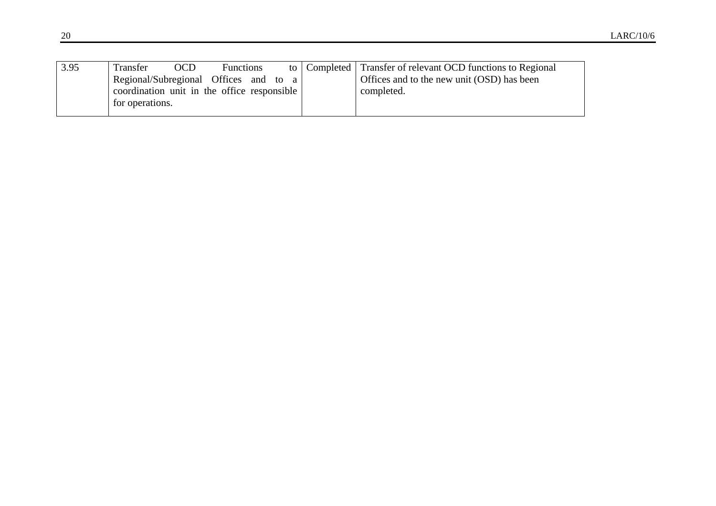| 3.95 | Transfer                                    | <b>OCD</b> | <b>Functions</b> |  | to   Completed   Transfer of relevant OCD functions to Regional |
|------|---------------------------------------------|------------|------------------|--|-----------------------------------------------------------------|
|      | Regional/Subregional Offices and to a       |            |                  |  | Offices and to the new unit (OSD) has been                      |
|      | coordination unit in the office responsible |            |                  |  | completed.                                                      |
|      | for operations.                             |            |                  |  |                                                                 |
|      |                                             |            |                  |  |                                                                 |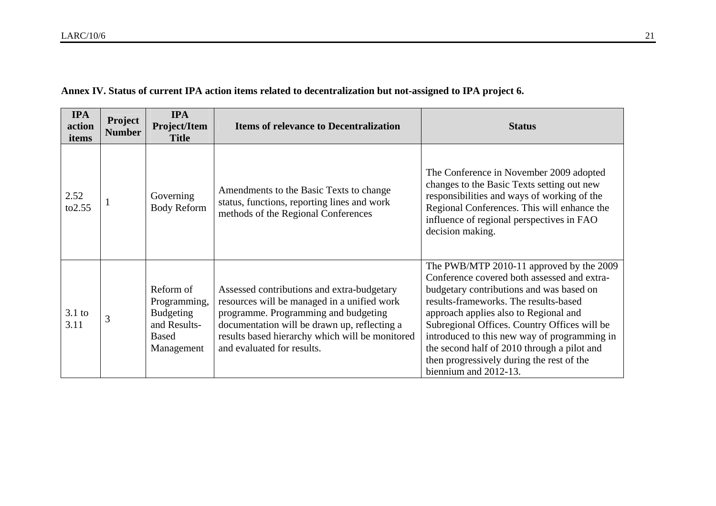| Annex IV. Status of current IPA action items related to decentralization but not-assigned to IPA project 6. |  |  |  |  |  |
|-------------------------------------------------------------------------------------------------------------|--|--|--|--|--|
|-------------------------------------------------------------------------------------------------------------|--|--|--|--|--|

| <b>IPA</b><br>action<br>items | Project<br><b>Number</b> | <b>IPA</b><br>Project/Item<br><b>Title</b>                                                  | <b>Items of relevance to Decentralization</b>                                                                                                                                                                                                                      | <b>Status</b>                                                                                                                                                                                                                                                                                                                                                                                                                              |
|-------------------------------|--------------------------|---------------------------------------------------------------------------------------------|--------------------------------------------------------------------------------------------------------------------------------------------------------------------------------------------------------------------------------------------------------------------|--------------------------------------------------------------------------------------------------------------------------------------------------------------------------------------------------------------------------------------------------------------------------------------------------------------------------------------------------------------------------------------------------------------------------------------------|
| 2.52<br>to 2.55               |                          | Governing<br><b>Body Reform</b>                                                             | Amendments to the Basic Texts to change<br>status, functions, reporting lines and work<br>methods of the Regional Conferences                                                                                                                                      | The Conference in November 2009 adopted<br>changes to the Basic Texts setting out new<br>responsibilities and ways of working of the<br>Regional Conferences. This will enhance the<br>influence of regional perspectives in FAO<br>decision making.                                                                                                                                                                                       |
| $3.1$ to<br>3.11              | 3                        | Reform of<br>Programming,<br><b>Budgeting</b><br>and Results-<br><b>Based</b><br>Management | Assessed contributions and extra-budgetary<br>resources will be managed in a unified work<br>programme. Programming and budgeting<br>documentation will be drawn up, reflecting a<br>results based hierarchy which will be monitored<br>and evaluated for results. | The PWB/MTP 2010-11 approved by the 2009<br>Conference covered both assessed and extra-<br>budgetary contributions and was based on<br>results-frameworks. The results-based<br>approach applies also to Regional and<br>Subregional Offices. Country Offices will be<br>introduced to this new way of programming in<br>the second half of 2010 through a pilot and<br>then progressively during the rest of the<br>biennium and 2012-13. |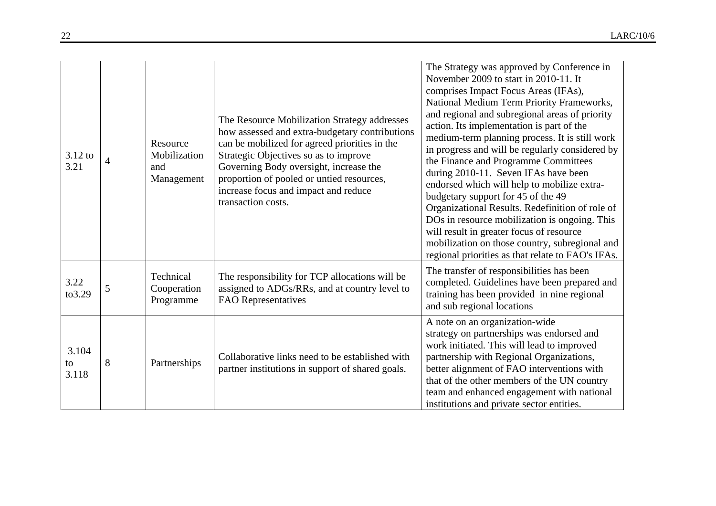| $3.12$ to<br>3.21    | 4 | Resource<br>Mobilization<br>and<br>Management | The Resource Mobilization Strategy addresses<br>how assessed and extra-budgetary contributions<br>can be mobilized for agreed priorities in the<br>Strategic Objectives so as to improve<br>Governing Body oversight, increase the<br>proportion of pooled or untied resources,<br>increase focus and impact and reduce<br>transaction costs. | The Strategy was approved by Conference in<br>November 2009 to start in 2010-11. It<br>comprises Impact Focus Areas (IFAs),<br>National Medium Term Priority Frameworks,<br>and regional and subregional areas of priority<br>action. Its implementation is part of the<br>medium-term planning process. It is still work<br>in progress and will be regularly considered by<br>the Finance and Programme Committees<br>during 2010-11. Seven IFAs have been<br>endorsed which will help to mobilize extra-<br>budgetary support for 45 of the 49<br>Organizational Results. Redefinition of role of<br>DOs in resource mobilization is ongoing. This<br>will result in greater focus of resource<br>mobilization on those country, subregional and<br>regional priorities as that relate to FAO's IFAs. |
|----------------------|---|-----------------------------------------------|-----------------------------------------------------------------------------------------------------------------------------------------------------------------------------------------------------------------------------------------------------------------------------------------------------------------------------------------------|----------------------------------------------------------------------------------------------------------------------------------------------------------------------------------------------------------------------------------------------------------------------------------------------------------------------------------------------------------------------------------------------------------------------------------------------------------------------------------------------------------------------------------------------------------------------------------------------------------------------------------------------------------------------------------------------------------------------------------------------------------------------------------------------------------|
| 3.22<br>to3.29       | 5 | Technical<br>Cooperation<br>Programme         | The responsibility for TCP allocations will be<br>assigned to ADGs/RRs, and at country level to<br>FAO Representatives                                                                                                                                                                                                                        | The transfer of responsibilities has been<br>completed. Guidelines have been prepared and<br>training has been provided in nine regional<br>and sub regional locations                                                                                                                                                                                                                                                                                                                                                                                                                                                                                                                                                                                                                                   |
| 3.104<br>to<br>3.118 | 8 | Partnerships                                  | Collaborative links need to be established with<br>partner institutions in support of shared goals.                                                                                                                                                                                                                                           | A note on an organization-wide<br>strategy on partnerships was endorsed and<br>work initiated. This will lead to improved<br>partnership with Regional Organizations,<br>better alignment of FAO interventions with<br>that of the other members of the UN country<br>team and enhanced engagement with national<br>institutions and private sector entities.                                                                                                                                                                                                                                                                                                                                                                                                                                            |